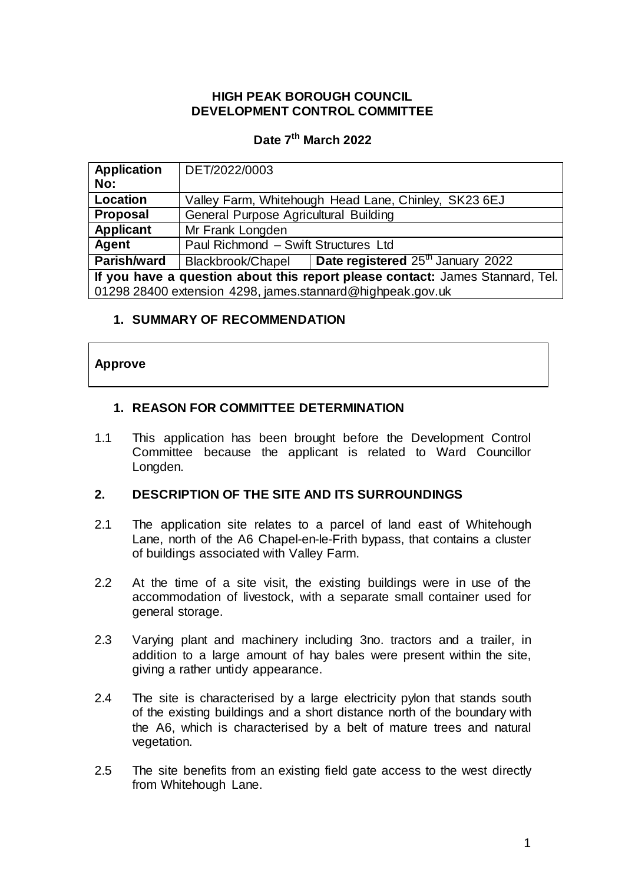# **HIGH PEAK BOROUGH COUNCIL DEVELOPMENT CONTROL COMMITTEE**

# **Date 7 th March 2022**

| <b>Application</b>                                                            | DET/2022/0003                                        |                                               |
|-------------------------------------------------------------------------------|------------------------------------------------------|-----------------------------------------------|
| No:                                                                           |                                                      |                                               |
| Location                                                                      | Valley Farm, Whitehough Head Lane, Chinley, SK23 6EJ |                                               |
| <b>Proposal</b>                                                               | General Purpose Agricultural Building                |                                               |
| <b>Applicant</b>                                                              | Mr Frank Longden                                     |                                               |
| Agent                                                                         | Paul Richmond - Swift Structures Ltd                 |                                               |
| <b>Parish/ward</b>                                                            | Blackbrook/Chapel                                    | Date registered 25 <sup>th</sup> January 2022 |
| If you have a question about this report please contact: James Stannard, Tel. |                                                      |                                               |
| 01298 28400 extension 4298, james.stannard@highpeak.gov.uk                    |                                                      |                                               |

# **1. SUMMARY OF RECOMMENDATION**

### **Approve**

# **1. REASON FOR COMMITTEE DETERMINATION**

1.1 This application has been brought before the Development Control Committee because the applicant is related to Ward Councillor Longden.

### **2. DESCRIPTION OF THE SITE AND ITS SURROUNDINGS**

- 2.1 The application site relates to a parcel of land east of Whitehough Lane, north of the A6 Chapel-en-le-Frith bypass, that contains a cluster of buildings associated with Valley Farm.
- 2.2 At the time of a site visit, the existing buildings were in use of the accommodation of livestock, with a separate small container used for general storage.
- 2.3 Varying plant and machinery including 3no. tractors and a trailer, in addition to a large amount of hay bales were present within the site, giving a rather untidy appearance.
- 2.4 The site is characterised by a large electricity pylon that stands south of the existing buildings and a short distance north of the boundary with the A6, which is characterised by a belt of mature trees and natural vegetation.
- 2.5 The site benefits from an existing field gate access to the west directly from Whitehough Lane.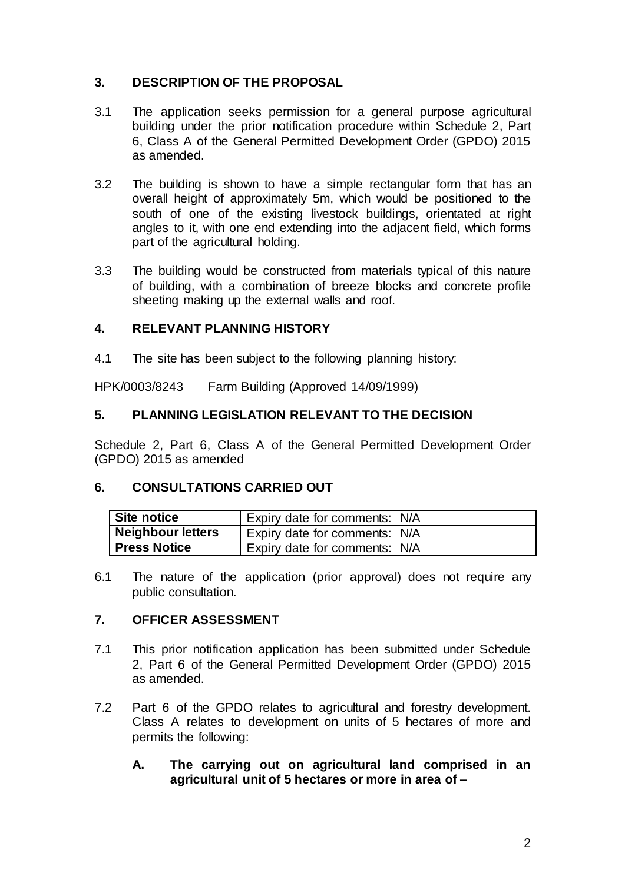# **3. DESCRIPTION OF THE PROPOSAL**

- 3.1 The application seeks permission for a general purpose agricultural building under the prior notification procedure within Schedule 2, Part 6, Class A of the General Permitted Development Order (GPDO) 2015 as amended.
- 3.2 The building is shown to have a simple rectangular form that has an overall height of approximately 5m, which would be positioned to the south of one of the existing livestock buildings, orientated at right angles to it, with one end extending into the adjacent field, which forms part of the agricultural holding.
- 3.3 The building would be constructed from materials typical of this nature of building, with a combination of breeze blocks and concrete profile sheeting making up the external walls and roof.

# **4. RELEVANT PLANNING HISTORY**

4.1 The site has been subject to the following planning history:

HPK/0003/8243 Farm Building (Approved 14/09/1999)

# **5. PLANNING LEGISLATION RELEVANT TO THE DECISION**

Schedule 2, Part 6, Class A of the General Permitted Development Order (GPDO) 2015 as amended

### **6. CONSULTATIONS CARRIED OUT**

| <b>Site notice</b>       | Expiry date for comments: N/A |
|--------------------------|-------------------------------|
| <b>Neighbour letters</b> | Expiry date for comments: N/A |
| <b>Press Notice</b>      | Expiry date for comments: N/A |

6.1 The nature of the application (prior approval) does not require any public consultation.

### **7. OFFICER ASSESSMENT**

- 7.1 This prior notification application has been submitted under Schedule 2, Part 6 of the General Permitted Development Order (GPDO) 2015 as amended.
- 7.2 Part 6 of the GPDO relates to agricultural and forestry development. Class A relates to development on units of 5 hectares of more and permits the following:
	- **A. The carrying out on agricultural land comprised in an agricultural unit of 5 hectares or more in area of –**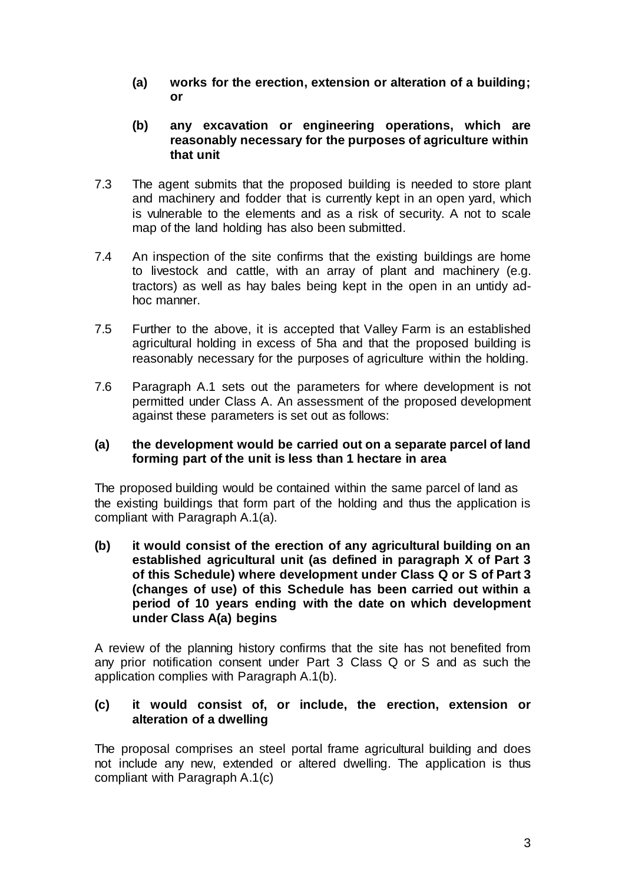- **(a) works for the erection, extension or alteration of a building; or**
- **(b) any excavation or engineering operations, which are reasonably necessary for the purposes of agriculture within that unit**
- 7.3 The agent submits that the proposed building is needed to store plant and machinery and fodder that is currently kept in an open yard, which is vulnerable to the elements and as a risk of security. A not to scale map of the land holding has also been submitted.
- 7.4 An inspection of the site confirms that the existing buildings are home to livestock and cattle, with an array of plant and machinery (e.g. tractors) as well as hay bales being kept in the open in an untidy adhoc manner.
- 7.5 Further to the above, it is accepted that Valley Farm is an established agricultural holding in excess of 5ha and that the proposed building is reasonably necessary for the purposes of agriculture within the holding.
- 7.6 Paragraph A.1 sets out the parameters for where development is not permitted under Class A. An assessment of the proposed development against these parameters is set out as follows:

#### **(a) the development would be carried out on a separate parcel of land forming part of the unit is less than 1 hectare in area**

The proposed building would be contained within the same parcel of land as the existing buildings that form part of the holding and thus the application is compliant with Paragraph A.1(a).

**(b) it would consist of the erection of any agricultural building on an established agricultural unit (as defined in paragraph X of Part 3 of this Schedule) where development under Class Q or S of Part 3 (changes of use) of this Schedule has been carried out within a period of 10 years ending with the date on which development under Class A(a) begins**

A review of the planning history confirms that the site has not benefited from any prior notification consent under Part 3 Class Q or S and as such the application complies with Paragraph A.1(b).

#### **(c) it would consist of, or include, the erection, extension or alteration of a dwelling**

The proposal comprises an steel portal frame agricultural building and does not include any new, extended or altered dwelling. The application is thus compliant with Paragraph A.1(c)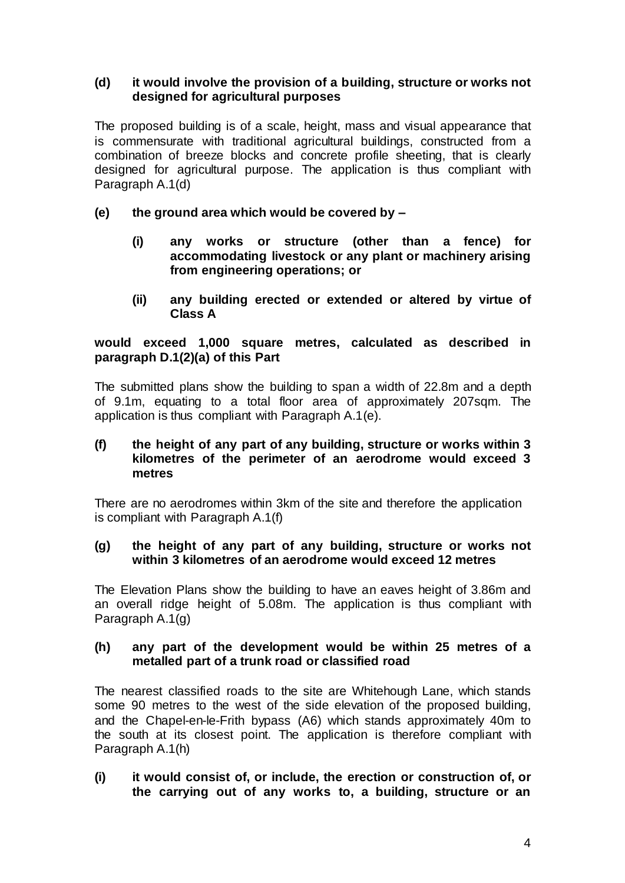### **(d) it would involve the provision of a building, structure or works not designed for agricultural purposes**

The proposed building is of a scale, height, mass and visual appearance that is commensurate with traditional agricultural buildings, constructed from a combination of breeze blocks and concrete profile sheeting, that is clearly designed for agricultural purpose. The application is thus compliant with Paragraph A.1(d)

# **(e) the ground area which would be covered by –**

- **(i) any works or structure (other than a fence) for accommodating livestock or any plant or machinery arising from engineering operations; or**
- **(ii) any building erected or extended or altered by virtue of Class A**

### **would exceed 1,000 square metres, calculated as described in paragraph D.1(2)(a) of this Part**

The submitted plans show the building to span a width of 22.8m and a depth of 9.1m, equating to a total floor area of approximately 207sqm. The application is thus compliant with Paragraph A.1(e).

### **(f) the height of any part of any building, structure or works within 3 kilometres of the perimeter of an aerodrome would exceed 3 metres**

There are no aerodromes within 3km of the site and therefore the application is compliant with Paragraph A.1(f)

#### **(g) the height of any part of any building, structure or works not within 3 kilometres of an aerodrome would exceed 12 metres**

The Elevation Plans show the building to have an eaves height of 3.86m and an overall ridge height of 5.08m. The application is thus compliant with Paragraph A.1(g)

### **(h) any part of the development would be within 25 metres of a metalled part of a trunk road or classified road**

The nearest classified roads to the site are Whitehough Lane, which stands some 90 metres to the west of the side elevation of the proposed building, and the Chapel-en-le-Frith bypass (A6) which stands approximately 40m to the south at its closest point. The application is therefore compliant with Paragraph A.1(h)

**(i) it would consist of, or include, the erection or construction of, or the carrying out of any works to, a building, structure or an**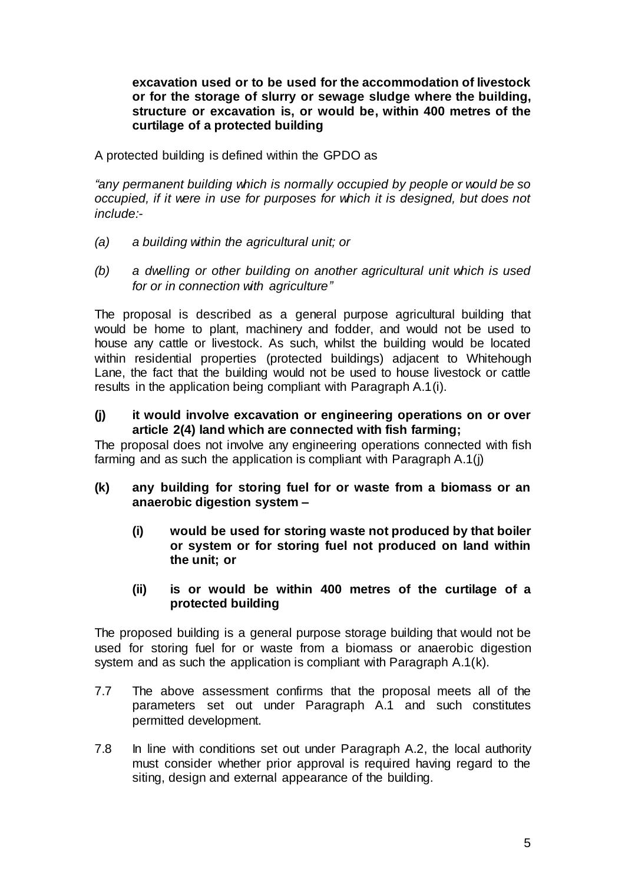**excavation used or to be used for the accommodation of livestock or for the storage of slurry or sewage sludge where the building, structure or excavation is, or would be, within 400 metres of the curtilage of a protected building**

A protected building is defined within the GPDO as

*"any permanent building which is normally occupied by people or would be so occupied, if it were in use for purposes for which it is designed, but does not include:-*

- *(a) a building within the agricultural unit; or*
- *(b) a dwelling or other building on another agricultural unit which is used for or in connection with agriculture"*

The proposal is described as a general purpose agricultural building that would be home to plant, machinery and fodder, and would not be used to house any cattle or livestock. As such, whilst the building would be located within residential properties (protected buildings) adjacent to Whitehough Lane, the fact that the building would not be used to house livestock or cattle results in the application being compliant with Paragraph A.1(i).

**(j) it would involve excavation or engineering operations on or over article 2(4) land which are connected with fish farming;**

The proposal does not involve any engineering operations connected with fish farming and as such the application is compliant with Paragraph A.1(j)

- **(k) any building for storing fuel for or waste from a biomass or an anaerobic digestion system –**
	- **(i) would be used for storing waste not produced by that boiler or system or for storing fuel not produced on land within the unit; or**
	- **(ii) is or would be within 400 metres of the curtilage of a protected building**

The proposed building is a general purpose storage building that would not be used for storing fuel for or waste from a biomass or anaerobic digestion system and as such the application is compliant with Paragraph A.1(k).

- 7.7 The above assessment confirms that the proposal meets all of the parameters set out under Paragraph A.1 and such constitutes permitted development.
- 7.8 In line with conditions set out under Paragraph A.2, the local authority must consider whether prior approval is required having regard to the siting, design and external appearance of the building.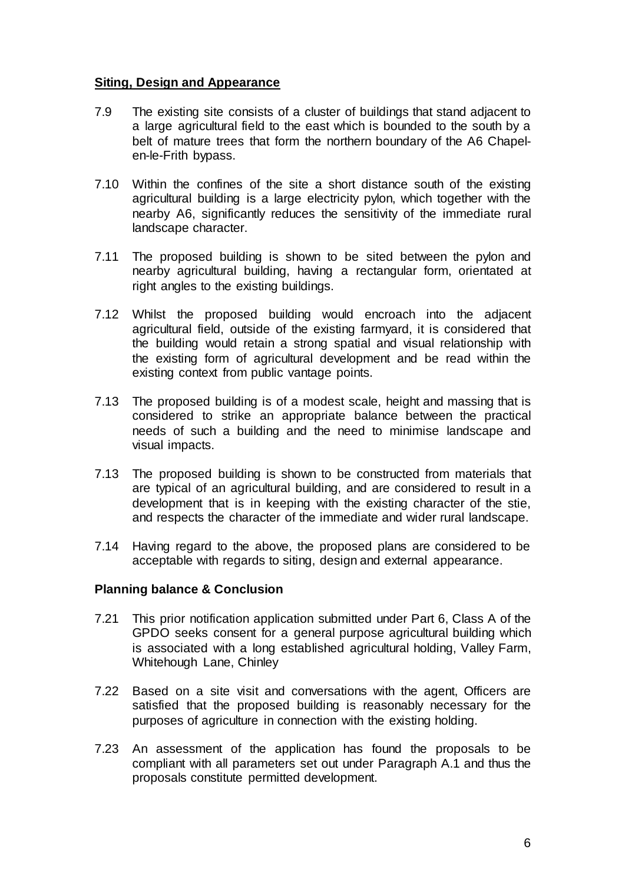### **Siting, Design and Appearance**

- 7.9 The existing site consists of a cluster of buildings that stand adjacent to a large agricultural field to the east which is bounded to the south by a belt of mature trees that form the northern boundary of the A6 Chapelen-le-Frith bypass.
- 7.10 Within the confines of the site a short distance south of the existing agricultural building is a large electricity pylon, which together with the nearby A6, significantly reduces the sensitivity of the immediate rural landscape character.
- 7.11 The proposed building is shown to be sited between the pylon and nearby agricultural building, having a rectangular form, orientated at right angles to the existing buildings.
- 7.12 Whilst the proposed building would encroach into the adjacent agricultural field, outside of the existing farmyard, it is considered that the building would retain a strong spatial and visual relationship with the existing form of agricultural development and be read within the existing context from public vantage points.
- 7.13 The proposed building is of a modest scale, height and massing that is considered to strike an appropriate balance between the practical needs of such a building and the need to minimise landscape and visual impacts.
- 7.13 The proposed building is shown to be constructed from materials that are typical of an agricultural building, and are considered to result in a development that is in keeping with the existing character of the stie, and respects the character of the immediate and wider rural landscape.
- 7.14 Having regard to the above, the proposed plans are considered to be acceptable with regards to siting, design and external appearance.

### **Planning balance & Conclusion**

- 7.21 This prior notification application submitted under Part 6, Class A of the GPDO seeks consent for a general purpose agricultural building which is associated with a long established agricultural holding, Valley Farm, Whitehough Lane, Chinley
- 7.22 Based on a site visit and conversations with the agent, Officers are satisfied that the proposed building is reasonably necessary for the purposes of agriculture in connection with the existing holding.
- 7.23 An assessment of the application has found the proposals to be compliant with all parameters set out under Paragraph A.1 and thus the proposals constitute permitted development.